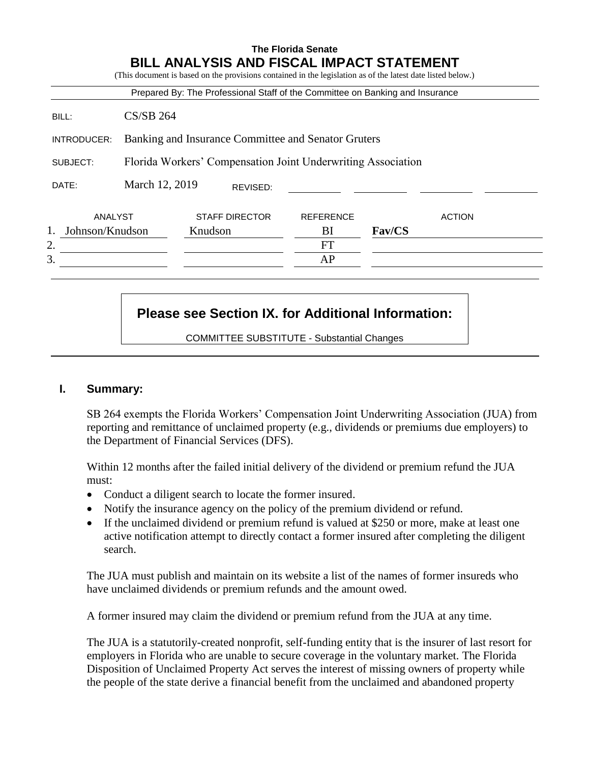|                 |                                                              |         |                       | Prepared By: The Professional Staff of the Committee on Banking and Insurance | (This document is based on the provisions contained in the legislation as of the latest date listed below.) |               |  |  |
|-----------------|--------------------------------------------------------------|---------|-----------------------|-------------------------------------------------------------------------------|-------------------------------------------------------------------------------------------------------------|---------------|--|--|
| BILL:           | $CS/SB$ 264                                                  |         |                       |                                                                               |                                                                                                             |               |  |  |
| INTRODUCER:     | Banking and Insurance Committee and Senator Gruters          |         |                       |                                                                               |                                                                                                             |               |  |  |
| SUBJECT:        | Florida Workers' Compensation Joint Underwriting Association |         |                       |                                                                               |                                                                                                             |               |  |  |
| DATE:           | March 12, 2019<br>REVISED:                                   |         |                       |                                                                               |                                                                                                             |               |  |  |
| ANALYST         |                                                              |         | <b>STAFF DIRECTOR</b> | <b>REFERENCE</b>                                                              |                                                                                                             | <b>ACTION</b> |  |  |
| Johnson/Knudson |                                                              | Knudson |                       | BI                                                                            | Fav/CS                                                                                                      |               |  |  |
| 2.              |                                                              |         |                       | FT                                                                            |                                                                                                             |               |  |  |
| 3.              |                                                              |         |                       | AP                                                                            |                                                                                                             |               |  |  |

# **Please see Section IX. for Additional Information:**

COMMITTEE SUBSTITUTE - Substantial Changes

#### **I. Summary:**

SB 264 exempts the Florida Workers' Compensation Joint Underwriting Association (JUA) from reporting and remittance of unclaimed property (e.g., dividends or premiums due employers) to the Department of Financial Services (DFS).

Within 12 months after the failed initial delivery of the dividend or premium refund the JUA must:

- Conduct a diligent search to locate the former insured.
- Notify the insurance agency on the policy of the premium dividend or refund.
- If the unclaimed dividend or premium refund is valued at \$250 or more, make at least one active notification attempt to directly contact a former insured after completing the diligent search.

The JUA must publish and maintain on its website a list of the names of former insureds who have unclaimed dividends or premium refunds and the amount owed.

A former insured may claim the dividend or premium refund from the JUA at any time.

The JUA is a statutorily-created nonprofit, self-funding entity that is the insurer of last resort for employers in Florida who are unable to secure coverage in the voluntary market. The Florida Disposition of Unclaimed Property Act serves the interest of missing owners of property while the people of the state derive a financial benefit from the unclaimed and abandoned property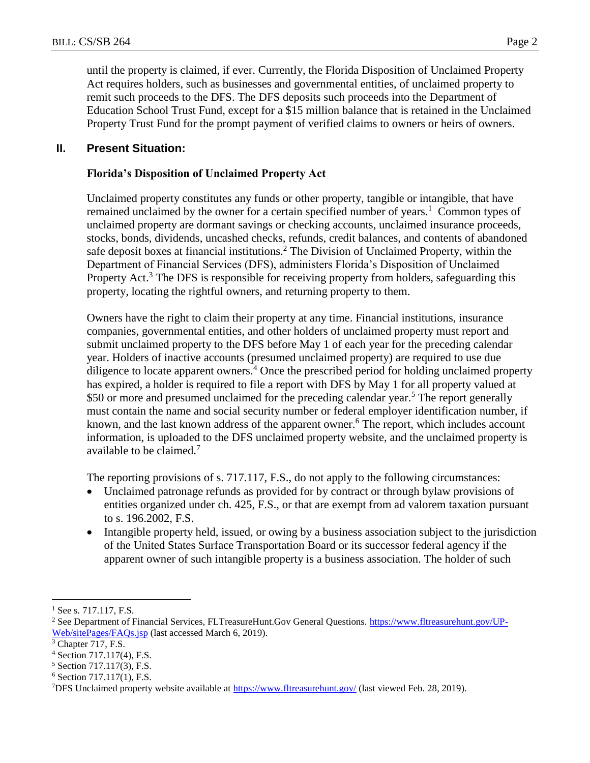remit such proceeds to the DFS. The DFS deposits such proceeds into the Department of Education School Trust Fund, except for a \$15 million balance that is retained in the Unclaimed Property Trust Fund for the prompt payment of verified claims to owners or heirs of owners.

## **II. Present Situation:**

## **Florida's Disposition of Unclaimed Property Act**

Unclaimed property constitutes any funds or other property, tangible or intangible, that have remained unclaimed by the owner for a certain specified number of years.<sup>1</sup> Common types of unclaimed property are dormant savings or checking accounts, unclaimed insurance proceeds, stocks, bonds, dividends, uncashed checks, refunds, credit balances, and contents of abandoned safe deposit boxes at financial institutions.<sup>2</sup> The Division of Unclaimed Property, within the Department of Financial Services (DFS), administers Florida's Disposition of Unclaimed Property Act.<sup>3</sup> The DFS is responsible for receiving property from holders, safeguarding this property, locating the rightful owners, and returning property to them.

Owners have the right to claim their property at any time. Financial institutions, insurance companies, governmental entities, and other holders of unclaimed property must report and submit unclaimed property to the DFS before May 1 of each year for the preceding calendar year. Holders of inactive accounts (presumed unclaimed property) are required to use due diligence to locate apparent owners.<sup>4</sup> Once the prescribed period for holding unclaimed property has expired, a holder is required to file a report with DFS by May 1 for all property valued at \$50 or more and presumed unclaimed for the preceding calendar year.<sup>5</sup> The report generally must contain the name and social security number or federal employer identification number, if known, and the last known address of the apparent owner.<sup>6</sup> The report, which includes account information, is uploaded to the DFS unclaimed property website, and the unclaimed property is available to be claimed.<sup>7</sup>

The reporting provisions of s. 717.117, F.S., do not apply to the following circumstances:

- Unclaimed patronage refunds as provided for by contract or through bylaw provisions of entities organized under ch. 425, F.S., or that are exempt from ad valorem taxation pursuant to s. 196.2002, F.S.
- Intangible property held, issued, or owing by a business association subject to the jurisdiction of the United States Surface Transportation Board or its successor federal agency if the apparent owner of such intangible property is a business association. The holder of such

 $\overline{a}$ 

See s. 717.117, F.S.

<sup>2</sup> See Department of Financial Services, FLTreasureHunt.Gov General Questions. [https://www.fltreasurehunt.gov/UP-](https://www.fltreasurehunt.gov/UP-Web/sitePages/FAQs.jsp)[Web/sitePages/FAQs.jsp](https://www.fltreasurehunt.gov/UP-Web/sitePages/FAQs.jsp) (last accessed March 6, 2019).

<sup>&</sup>lt;sup>3</sup> Chapter 717, F.S.

<sup>4</sup> Section 717.117(4), F.S.

<sup>5</sup> Section 717.117(3), F.S.

<sup>6</sup> Section 717.117(1), F.S.

<sup>&</sup>lt;sup>7</sup>DFS Unclaimed property website available at<https://www.fltreasurehunt.gov/> (last viewed Feb. 28, 2019).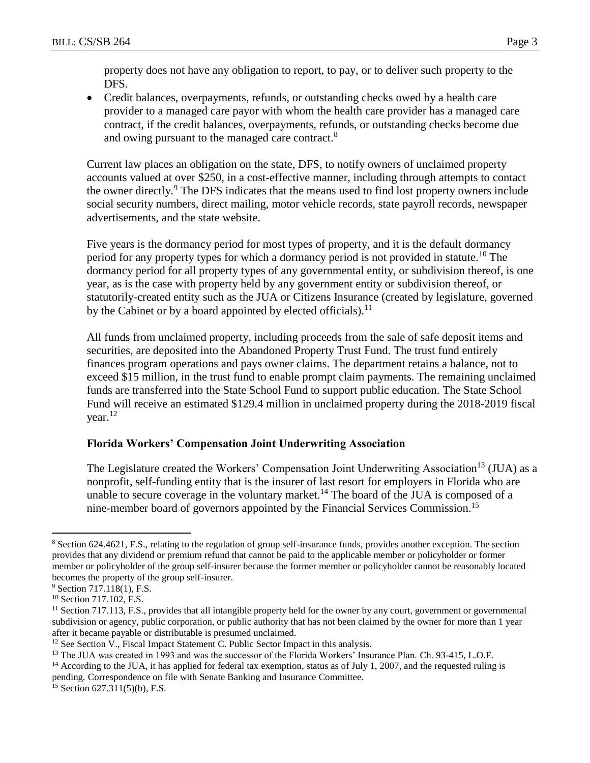property does not have any obligation to report, to pay, or to deliver such property to the DFS.

 Credit balances, overpayments, refunds, or outstanding checks owed by a health care provider to a managed care payor with whom the health care provider has a managed care contract, if the credit balances, overpayments, refunds, or outstanding checks become due and owing pursuant to the managed care contract.<sup>8</sup>

Current law places an obligation on the state, DFS, to notify owners of unclaimed property accounts valued at over \$250, in a cost-effective manner, including through attempts to contact the owner directly.<sup>9</sup> The DFS indicates that the means used to find lost property owners include social security numbers, direct mailing, motor vehicle records, state payroll records, newspaper advertisements, and the state website.

Five years is the dormancy period for most types of property, and it is the default dormancy period for any property types for which a dormancy period is not provided in statute.<sup>10</sup> The dormancy period for all property types of any governmental entity, or subdivision thereof, is one year, as is the case with property held by any government entity or subdivision thereof, or statutorily-created entity such as the JUA or Citizens Insurance (created by legislature, governed by the Cabinet or by a board appointed by elected officials).<sup>11</sup>

All funds from unclaimed property, including proceeds from the sale of safe deposit items and securities, are deposited into the Abandoned Property Trust Fund. The trust fund entirely finances program operations and pays owner claims. The department retains a balance, not to exceed \$15 million, in the trust fund to enable prompt claim payments. The remaining unclaimed funds are transferred into the State School Fund to support public education. The State School Fund will receive an estimated \$129.4 million in unclaimed property during the 2018-2019 fiscal year.<sup>12</sup>

#### **Florida Workers' Compensation Joint Underwriting Association**

The Legislature created the Workers' Compensation Joint Underwriting Association<sup>13</sup> (JUA) as a nonprofit, self-funding entity that is the insurer of last resort for employers in Florida who are unable to secure coverage in the voluntary market.<sup>14</sup> The board of the JUA is composed of a nine-member board of governors appointed by the Financial Services Commission. 15

 $\overline{a}$ 

<sup>8</sup> Section 624.4621, F.S., relating to the regulation of group self-insurance funds, provides another exception. The section provides that any dividend or premium refund that cannot be paid to the applicable member or policyholder or former member or policyholder of the group self-insurer because the former member or policyholder cannot be reasonably located becomes the property of the group self-insurer.

<sup>&</sup>lt;sup>9</sup> Section 717.118(1), F.S.

<sup>&</sup>lt;sup>10</sup> Section 717.102, F.S.

<sup>&</sup>lt;sup>11</sup> Section 717.113, F.S., provides that all intangible property held for the owner by any court, government or governmental subdivision or agency, public corporation, or public authority that has not been claimed by the owner for more than 1 year after it became payable or distributable is presumed unclaimed.

<sup>&</sup>lt;sup>12</sup> See Section V., Fiscal Impact Statement C. Public Sector Impact in this analysis.

<sup>&</sup>lt;sup>13</sup> The JUA was created in 1993 and was the successor of the Florida Workers' Insurance Plan. Ch. 93-415, L.O.F.

<sup>&</sup>lt;sup>14</sup> According to the JUA, it has applied for federal tax exemption, status as of July 1, 2007, and the requested ruling is pending. Correspondence on file with Senate Banking and Insurance Committee.

 $15$  Section 627.311(5)(b), F.S.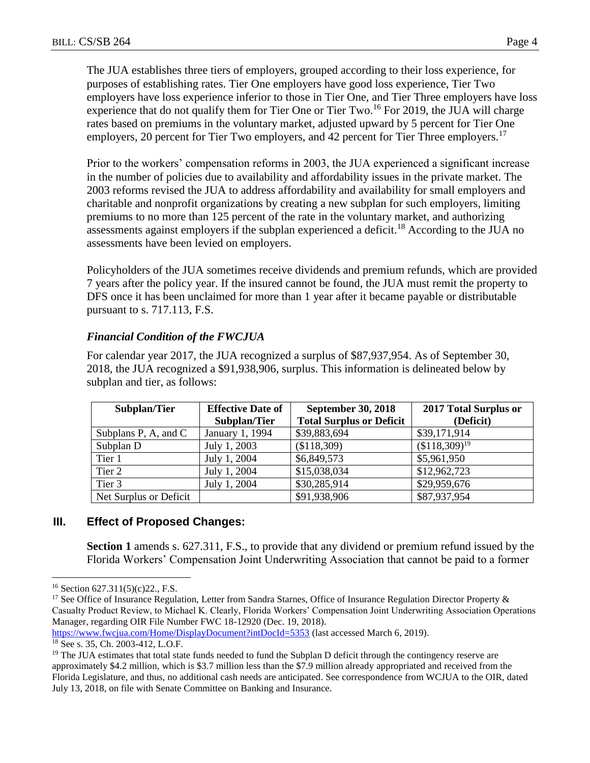The JUA establishes three tiers of employers, grouped according to their loss experience, for purposes of establishing rates. Tier One employers have good loss experience, Tier Two employers have loss experience inferior to those in Tier One, and Tier Three employers have loss experience that do not qualify them for Tier One or Tier Two.<sup>16</sup> For 2019, the JUA will charge rates based on premiums in the voluntary market, adjusted upward by 5 percent for Tier One employers, 20 percent for Tier Two employers, and 42 percent for Tier Three employers.<sup>17</sup>

Prior to the workers' compensation reforms in 2003, the JUA experienced a significant increase in the number of policies due to availability and affordability issues in the private market. The 2003 reforms revised the JUA to address affordability and availability for small employers and charitable and nonprofit organizations by creating a new subplan for such employers, limiting premiums to no more than 125 percent of the rate in the voluntary market, and authorizing assessments against employers if the subplan experienced a deficit.<sup>18</sup> According to the JUA no assessments have been levied on employers.

Policyholders of the JUA sometimes receive dividends and premium refunds, which are provided 7 years after the policy year. If the insured cannot be found, the JUA must remit the property to DFS once it has been unclaimed for more than 1 year after it became payable or distributable pursuant to s. 717.113, F.S.

## *Financial Condition of the FWCJUA*

For calendar year 2017, the JUA recognized a surplus of \$87,937,954. As of September 30, 2018, the JUA recognized a \$91,938,906, surplus. This information is delineated below by subplan and tier, as follows:

| Subplan/Tier           | <b>Effective Date of</b> | <b>September 30, 2018</b>       | 2017 Total Surplus or |  |
|------------------------|--------------------------|---------------------------------|-----------------------|--|
|                        | Subplan/Tier             | <b>Total Surplus or Deficit</b> | (Deficit)             |  |
| Subplans P, A, and C   | January 1, 1994          | \$39,883,694                    | \$39,171,914          |  |
| Subplan D              | July 1, 2003             | (\$118,309)                     | $($118,309)^{19}$     |  |
| Tier 1                 | July 1, 2004             | \$6,849,573                     | \$5,961,950           |  |
| Tier 2                 | July 1, 2004             | \$15,038,034                    | \$12,962,723          |  |
| Tier 3                 | July 1, 2004             | \$30,285,914                    | \$29,959,676          |  |
| Net Surplus or Deficit |                          | \$91,938,906                    | \$87,937,954          |  |

# **III. Effect of Proposed Changes:**

**Section 1** amends s. 627.311, F.S., to provide that any dividend or premium refund issued by the Florida Workers' Compensation Joint Underwriting Association that cannot be paid to a former

 $\overline{a}$ <sup>16</sup> Section 627.311(5)(c)22., F.S.

<sup>&</sup>lt;sup>17</sup> See Office of Insurance Regulation, Letter from Sandra Starnes, Office of Insurance Regulation Director Property  $\&$ Casualty Product Review, to Michael K. Clearly, Florida Workers' Compensation Joint Underwriting Association Operations Manager, regarding OIR File Number FWC 18-12920 (Dec. 19, 2018).

<https://www.fwcjua.com/Home/DisplayDocument?intDocId=5353> (last accessed March 6, 2019).

<sup>18</sup> See s. 35, Ch. 2003-412, L.O.F.

<sup>&</sup>lt;sup>19</sup> The JUA estimates that total state funds needed to fund the Subplan D deficit through the contingency reserve are approximately \$4.2 million, which is \$3.7 million less than the \$7.9 million already appropriated and received from the Florida Legislature, and thus, no additional cash needs are anticipated. See correspondence from WCJUA to the OIR, dated July 13, 2018, on file with Senate Committee on Banking and Insurance.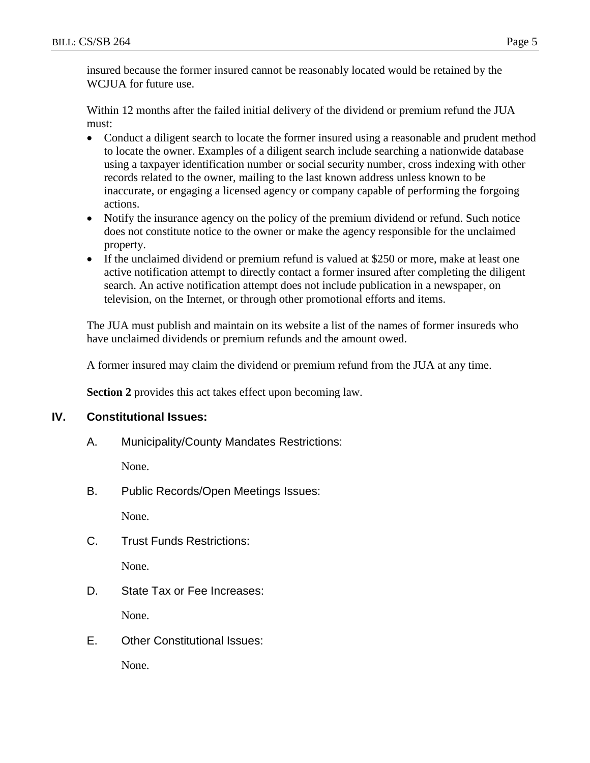Within 12 months after the failed initial delivery of the dividend or premium refund the JUA must:

- Conduct a diligent search to locate the former insured using a reasonable and prudent method to locate the owner. Examples of a diligent search include searching a nationwide database using a taxpayer identification number or social security number, cross indexing with other records related to the owner, mailing to the last known address unless known to be inaccurate, or engaging a licensed agency or company capable of performing the forgoing actions.
- Notify the insurance agency on the policy of the premium dividend or refund. Such notice does not constitute notice to the owner or make the agency responsible for the unclaimed property.
- If the unclaimed dividend or premium refund is valued at \$250 or more, make at least one active notification attempt to directly contact a former insured after completing the diligent search. An active notification attempt does not include publication in a newspaper, on television, on the Internet, or through other promotional efforts and items.

The JUA must publish and maintain on its website a list of the names of former insureds who have unclaimed dividends or premium refunds and the amount owed.

A former insured may claim the dividend or premium refund from the JUA at any time.

**Section 2** provides this act takes effect upon becoming law.

## **IV. Constitutional Issues:**

A. Municipality/County Mandates Restrictions:

None.

B. Public Records/Open Meetings Issues:

None.

C. Trust Funds Restrictions:

None.

D. State Tax or Fee Increases:

None.

E. Other Constitutional Issues:

None.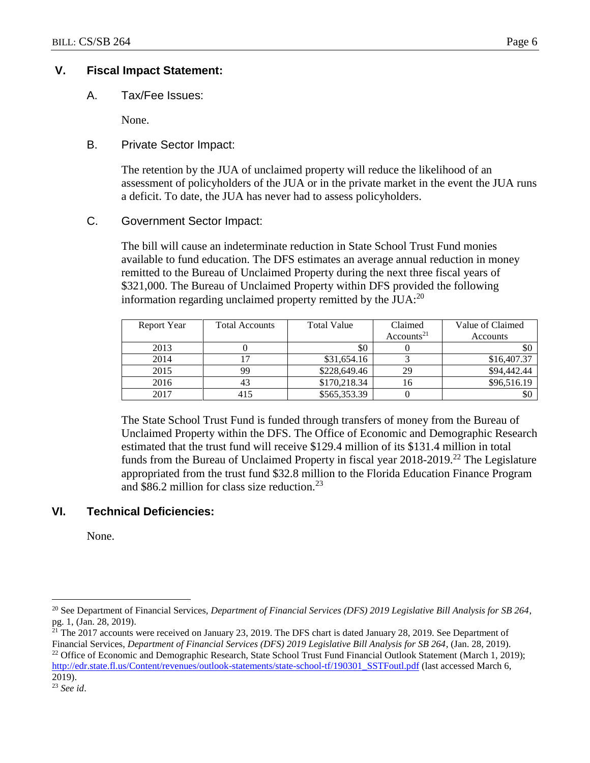## **V. Fiscal Impact Statement:**

A. Tax/Fee Issues:

None.

## B. Private Sector Impact:

The retention by the JUA of unclaimed property will reduce the likelihood of an assessment of policyholders of the JUA or in the private market in the event the JUA runs a deficit. To date, the JUA has never had to assess policyholders.

## C. Government Sector Impact:

The bill will cause an indeterminate reduction in State School Trust Fund monies available to fund education. The DFS estimates an average annual reduction in money remitted to the Bureau of Unclaimed Property during the next three fiscal years of \$321,000. The Bureau of Unclaimed Property within DFS provided the following information regarding unclaimed property remitted by the  $JUA$ :<sup>20</sup>

| Report Year | <b>Total Accounts</b> | Total Value  | Claimed                | Value of Claimed |
|-------------|-----------------------|--------------|------------------------|------------------|
|             |                       |              | Accounts <sup>21</sup> | Accounts         |
| 2013        |                       | \$0          |                        | SC.              |
| 2014        |                       | \$31,654.16  |                        | \$16,407.37      |
| 2015        | 99                    | \$228,649.46 | 29                     | \$94,442.44      |
| 2016        | 43                    | \$170,218.34 | 16                     | \$96,516.19      |
| 2017        |                       | \$565,353.39 |                        | \$0              |

The State School Trust Fund is funded through transfers of money from the Bureau of Unclaimed Property within the DFS. The Office of Economic and Demographic Research estimated that the trust fund will receive \$129.4 million of its \$131.4 million in total funds from the Bureau of Unclaimed Property in fiscal year  $2018-2019$ <sup>22</sup> The Legislature appropriated from the trust fund \$32.8 million to the Florida Education Finance Program and \$86.2 million for class size reduction.<sup>23</sup>

# **VI. Technical Deficiencies:**

None.

 $\overline{a}$ 

<sup>20</sup> See Department of Financial Services, *Department of Financial Services (DFS) 2019 Legislative Bill Analysis for SB 264*, pg. 1, (Jan. 28, 2019).

 $21$ <sup>T</sup> The 2017 accounts were received on January 23, 2019. The DFS chart is dated January 28, 2019. See Department of Financial Services, *Department of Financial Services (DFS) 2019 Legislative Bill Analysis for SB 264*, (Jan. 28, 2019). <sup>22</sup> Office of Economic and Demographic Research, State School Trust Fund Financial Outlook Statement (March 1, 2019);

[http://edr.state.fl.us/Content/revenues/outlook-statements/state-school-tf/190301\\_SSTFoutl.pdf](http://edr.state.fl.us/Content/revenues/outlook-statements/state-school-tf/190301_SSTFoutl.pdf) (last accessed March 6, 2019).

<sup>23</sup> *See id*.